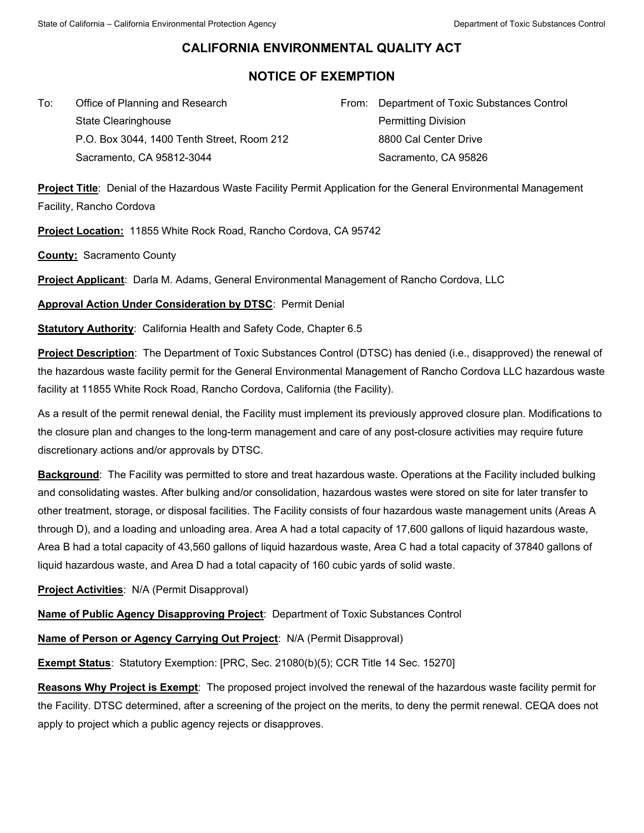## **CALIFORNIA ENVIRONMENTAL QUALITY ACT**

## **NOTICE OF EXEMPTION**

To: Office of Planning and Research State Clearinghouse P.O. Box 3044, 1400 Tenth Street, Room 212 Sacramento, CA 95812-3044

From: Department of Toxic Substances Control Permitting Division 8800 Cal Center Drive Sacramento, CA 95826

**Project Title**: Denial of the Hazardous Waste Facility Permit Application for the General Environmental Management Facility, Rancho Cordova

**Project Location:** 11855 White Rock Road, Rancho Cordova, CA 95742

**County:** Sacramento County

**Project Applicant**: Darla M. Adams, General Environmental Management of Rancho Cordova, LLC

**Approval Action Under Consideration by DTSC**: Permit Denial

**Statutory Authority: California Health and Safety Code, Chapter 6.5** 

**Project Description**: The Department of Toxic Substances Control (DTSC) has denied (i.e., disapproved) the renewal of the hazardous waste facility permit for the General Environmental Management of Rancho Cordova LLC hazardous waste facility at 11855 White Rock Road, Rancho Cordova, California (the Facility).

As a result of the permit renewal denial, the Facility must implement its previously approved closure plan. Modifications to the closure plan and changes to the long-term management and care of any post-closure activities may require future discretionary actions and/or approvals by DTSC.

**Background**: The Facility was permitted to store and treat hazardous waste. Operations at the Facility included bulking and consolidating wastes. After bulking and/or consolidation, hazardous wastes were stored on site for later transfer to other treatment, storage, or disposal facilities. The Facility consists of four hazardous waste management units (Areas A through D), and a loading and unloading area. Area A had a total capacity of 17,600 gallons of liquid hazardous waste, Area B had a total capacity of 43,560 gallons of liquid hazardous waste, Area C had a total capacity of 37840 gallons of liquid hazardous waste, and Area D had a total capacity of 160 cubic yards of solid waste.

**Project Activities**: N/A (Permit Disapproval)

**Name of Public Agency Disapproving Project**: Department of Toxic Substances Control

**Name of Person or Agency Carrying Out Project**: N/A (Permit Disapproval)

**Exempt Status**: Statutory Exemption: [PRC, Sec. 21080(b)(5); CCR Title 14 Sec. 15270]

**Reasons Why Project is Exempt**: The proposed project involved the renewal of the hazardous waste facility permit for the Facility. DTSC determined, after a screening of the project on the merits, to deny the permit renewal. CEQA does not apply to project which a public agency rejects or disapproves.